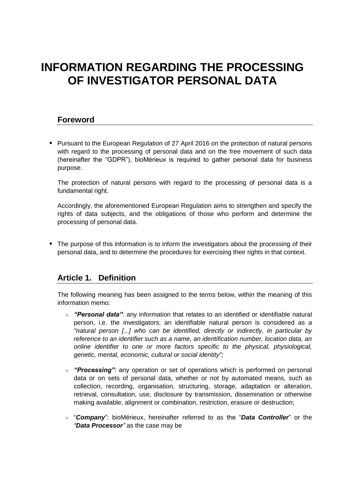# **INFORMATION REGARDING THE PROCESSING OF INVESTIGATOR PERSONAL DATA**

## **Foreword**

**Pursuant to the European Regulation of 27 April 2016 on the protection of natural persons** with regard to the processing of personal data and on the free movement of such data (hereinafter the "GDPR"), bioMérieux is required to gather personal data for business purpose.

The protection of natural persons with regard to the processing of personal data is a fundamental right.

Accordingly, the aforementioned European Regulation aims to strengthen and specify the rights of data subjects, and the obligations of those who perform and determine the processing of personal data.

• The purpose of this information is to inform the investigators about the processing of their personal data, and to determine the procedures for exercising their rights in that context.

## **Article 1. Definition**

The following meaning has been assigned to the terms below, within the meaning of this information memo:

- *"Personal data"*: any information that relates to an identified or identifiable natural person, i.e. the investigators; an identifiable natural person is considered as *a "natural person [...] who can be identified, directly or indirectly, in particular by reference to an identifier such as a name, an identification number, location data, an online identifier to one or more factors specific to the physical, physiological, genetic, mental, economic, cultural or social identity";*
- *"Processing"*: any operation or set of operations which is performed on personal data or on sets of personal data, whether or not by automated means, such as collection, recording, organisation, structuring, storage, adaptation or alteration, retrieval, consultation, use, disclosure by transmission, dissemination or otherwise making available, alignment or combination, restriction, erasure or destruction;
- "*Company*": bioMérieux, hereinafter referred to as the "*Data Controller*" or the *"Data Processor"* as the case may be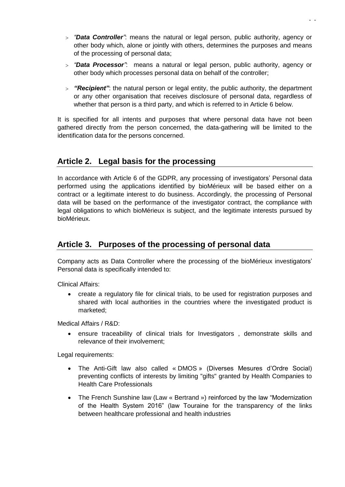- *"Data Controller"*: means the natural or legal person, public authority, agency or other body which, alone or jointly with others, determines the purposes and means of the processing of personal data;
- *"Data Processor"*: means a natural or legal person, public authority, agency or other body which processes personal data on behalf of the controller;
- *"Recipient"*: the natural person or legal entity, the public authority, the department or any other organisation that receives disclosure of personal data, regardless of whether that person is a third party, and which is referred to in Article 6 below.

It is specified for all intents and purposes that where personal data have not been gathered directly from the person concerned, the data-gathering will be limited to the identification data for the persons concerned.

# **Article 2. Legal basis for the processing**

In accordance with Article 6 of the GDPR, any processing of investigators' Personal data performed using the applications identified by bioMérieux will be based either on a contract or a legitimate interest to do business. Accordingly, the processing of Personal data will be based on the performance of the investigator contract, the compliance with legal obligations to which bioMérieux is subject, and the legitimate interests pursued by bioMérieux.

## **Article 3. Purposes of the processing of personal data**

Company acts as Data Controller where the processing of the bioMérieux investigators' Personal data is specifically intended to:

Clinical Affairs:

 create a regulatory file for clinical trials, to be used for registration purposes and shared with local authorities in the countries where the investigated product is marketed;

Medical Affairs / R&D:

 ensure traceability of clinical trials for Investigators , demonstrate skills and relevance of their involvement;

Legal requirements:

- The Anti-Gift law also called « DMOS » (Diverses Mesures d'Ordre Social) preventing conflicts of interests by limiting "gifts" granted by Health Companies to Health Care Professionals
- The French Sunshine law (Law « Bertrand ») reinforced by the law "Modernization of the Health System 2016" (law Touraine for the transparency of the links between healthcare professional and health industries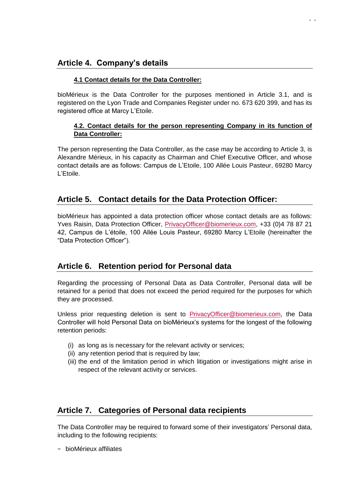## **Article 4. Company's details**

#### **4.1 Contact details for the Data Controller:**

bioMérieux is the Data Controller for the purposes mentioned in Article 3.1, and is registered on the Lyon Trade and Companies Register under no. 673 620 399, and has its registered office at Marcy L'Etoile.

#### **4.2. Contact details for the person representing Company in its function of Data Controller:**

- -

The person representing the Data Controller, as the case may be according to Article 3, is Alexandre Mérieux, in his capacity as Chairman and Chief Executive Officer, and whose contact details are as follows: Campus de L'Etoile, 100 Allée Louis Pasteur, 69280 Marcy L'Etoile.

## **Article 5. Contact details for the Data Protection Officer:**

bioMérieux has appointed a data protection officer whose contact details are as follows: Yves Raisin, Data Protection Officer, [PrivacyOfficer@biomerieux.com,](mailto:privacyofficer@biomerieux.com) +33 (0)4 78 87 21 42, Campus de L'étoile, 100 Allée Louis Pasteur, 69280 Marcy L'Etoile (hereinafter the "Data Protection Officer").

## **Article 6. Retention period for Personal data**

Regarding the processing of Personal Data as Data Controller, Personal data will be retained for a period that does not exceed the period required for the purposes for which they are processed.

Unless prior requesting deletion is sent to [PrivacyOfficer@biomerieux.com,](mailto:PrivacyOfficer@biomerieux.com) the Data Controller will hold Personal Data on bioMérieux's systems for the longest of the following retention periods:

- (i) as long as is necessary for the relevant activity or services;
- (ii) any retention period that is required by law;
- (iii) the end of the limitation period in which litigation or investigations might arise in respect of the relevant activity or services.

## **Article 7. Categories of Personal data recipients**

The Data Controller may be required to forward some of their investigators' Personal data, including to the following recipients:

− bioMérieux affiliates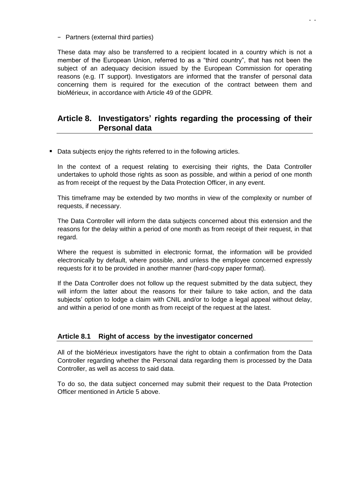− Partners (external third parties)

These data may also be transferred to a recipient located in a country which is not a member of the European Union, referred to as a "third country", that has not been the subject of an adequacy decision issued by the European Commission for operating reasons (e.g. IT support). Investigators are informed that the transfer of personal data concerning them is required for the execution of the contract between them and bioMérieux, in accordance with Article 49 of the GDPR*.* 

## **Article 8. Investigators' rights regarding the processing of their Personal data**

Data subjects enjoy the rights referred to in the following articles.

In the context of a request relating to exercising their rights, the Data Controller undertakes to uphold those rights as soon as possible, and within a period of one month as from receipt of the request by the Data Protection Officer, in any event.

This timeframe may be extended by two months in view of the complexity or number of requests, if necessary.

The Data Controller will inform the data subjects concerned about this extension and the reasons for the delay within a period of one month as from receipt of their request, in that regard.

Where the request is submitted in electronic format, the information will be provided electronically by default, where possible, and unless the employee concerned expressly requests for it to be provided in another manner (hard-copy paper format).

If the Data Controller does not follow up the request submitted by the data subject, they will inform the latter about the reasons for their failure to take action, and the data subjects' option to lodge a claim with CNIL and/or to lodge a legal appeal without delay, and within a period of one month as from receipt of the request at the latest.

#### **Article 8.1 Right of access by the investigator concerned**

All of the bioMérieux investigators have the right to obtain a confirmation from the Data Controller regarding whether the Personal data regarding them is processed by the Data Controller, as well as access to said data.

To do so, the data subject concerned may submit their request to the Data Protection Officer mentioned in Article 5 above.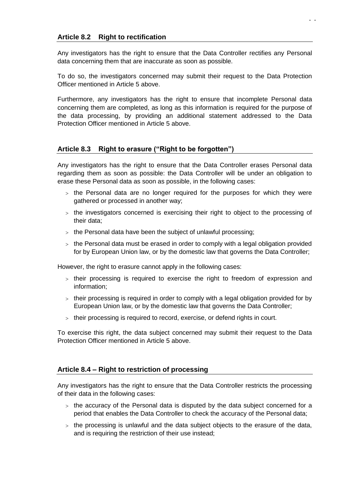Any investigators has the right to ensure that the Data Controller rectifies any Personal data concerning them that are inaccurate as soon as possible.

To do so, the investigators concerned may submit their request to the Data Protection Officer mentioned in Article 5 above.

Furthermore, any investigators has the right to ensure that incomplete Personal data concerning them are completed, as long as this information is required for the purpose of the data processing, by providing an additional statement addressed to the Data Protection Officer mentioned in Article 5 above.

### **Article 8.3 Right to erasure ("Right to be forgotten")**

Any investigators has the right to ensure that the Data Controller erases Personal data regarding them as soon as possible: the Data Controller will be under an obligation to erase these Personal data as soon as possible, in the following cases:

- $>$  the Personal data are no longer required for the purposes for which they were gathered or processed in another way;
- $>$  the investigators concerned is exercising their right to object to the processing of their data;
- $>$  the Personal data have been the subject of unlawful processing;
- $>$  the Personal data must be erased in order to comply with a legal obligation provided for by European Union law, or by the domestic law that governs the Data Controller;

However, the right to erasure cannot apply in the following cases:

- $>$  their processing is required to exercise the right to freedom of expression and information;
- $>$  their processing is required in order to comply with a legal obligation provided for by European Union law, or by the domestic law that governs the Data Controller;
- their processing is required to record, exercise, or defend rights in court.

To exercise this right, the data subject concerned may submit their request to the Data Protection Officer mentioned in Article 5 above.

#### **Article 8.4 – Right to restriction of processing**

Any investigators has the right to ensure that the Data Controller restricts the processing of their data in the following cases:

- $>$  the accuracy of the Personal data is disputed by the data subject concerned for a period that enables the Data Controller to check the accuracy of the Personal data;
- $>$  the processing is unlawful and the data subject objects to the erasure of the data, and is requiring the restriction of their use instead;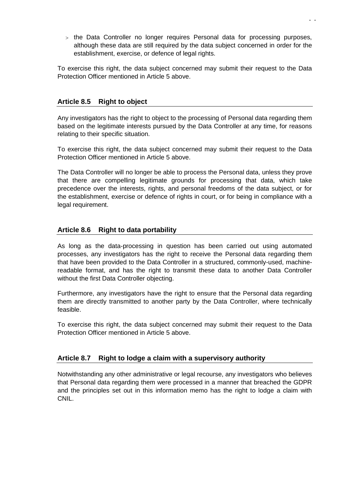$>$  the Data Controller no longer requires Personal data for processing purposes, although these data are still required by the data subject concerned in order for the establishment, exercise, or defence of legal rights.

To exercise this right, the data subject concerned may submit their request to the Data Protection Officer mentioned in Article 5 above.

#### **Article 8.5 Right to object**

Any investigators has the right to object to the processing of Personal data regarding them based on the legitimate interests pursued by the Data Controller at any time, for reasons relating to their specific situation.

To exercise this right, the data subject concerned may submit their request to the Data Protection Officer mentioned in Article 5 above.

The Data Controller will no longer be able to process the Personal data, unless they prove that there are compelling legitimate grounds for processing that data, which take precedence over the interests, rights, and personal freedoms of the data subject, or for the establishment, exercise or defence of rights in court, or for being in compliance with a legal requirement.

#### **Article 8.6 Right to data portability**

As long as the data-processing in question has been carried out using automated processes, any investigators has the right to receive the Personal data regarding them that have been provided to the Data Controller in a structured, commonly-used, machinereadable format, and has the right to transmit these data to another Data Controller without the first Data Controller objecting.

Furthermore, any investigators have the right to ensure that the Personal data regarding them are directly transmitted to another party by the Data Controller, where technically feasible.

To exercise this right, the data subject concerned may submit their request to the Data Protection Officer mentioned in Article 5 above.

#### **Article 8.7 Right to lodge a claim with a supervisory authority**

Notwithstanding any other administrative or legal recourse, any investigators who believes that Personal data regarding them were processed in a manner that breached the GDPR and the principles set out in this information memo has the right to lodge a claim with CNIL.